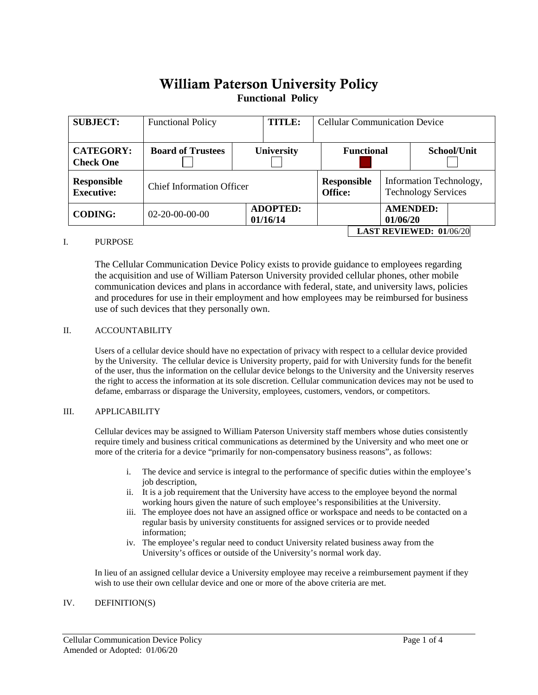# William Paterson University Policy**Functional Policy**

| <b>SUBJECT:</b>                         | <b>TITLE:</b><br><b>Functional Policy</b> |                             |  | <b>Cellular Communication Device</b> |  |                                                       |                 |  |  |
|-----------------------------------------|-------------------------------------------|-----------------------------|--|--------------------------------------|--|-------------------------------------------------------|-----------------|--|--|
| <b>CATEGORY:</b><br><b>Check One</b>    | <b>Board of Trustees</b>                  | University                  |  | <b>Functional</b>                    |  |                                                       | School/Unit     |  |  |
| <b>Responsible</b><br><b>Executive:</b> | <b>Chief Information Officer</b>          |                             |  | <b>Responsible</b><br><b>Office:</b> |  | Information Technology,<br><b>Technology Services</b> |                 |  |  |
| <b>CODING:</b>                          | $02 - 20 - 00 - 00 - 00$                  | <b>ADOPTED:</b><br>01/16/14 |  |                                      |  | 01/06/20                                              | <b>AMENDED:</b> |  |  |
| <b>LAST REVIEWED: 01/06/20</b>          |                                           |                             |  |                                      |  |                                                       |                 |  |  |

# I. PURPOSE

The Cellular Communication Device Policy exists to provide guidance to employees regarding the acquisition and use of William Paterson University provided cellular phones, other mobile communication devices and plans in accordance with federal, state, and university laws, policies and procedures for use in their employment and how employees may be reimbursed for business use of such devices that they personally own.

# II. ACCOUNTABILITY

Users of a cellular device should have no expectation of privacy with respect to a cellular device provided by the University. The cellular device is University property, paid for with University funds for the benefit of the user, thus the information on the cellular device belongs to the University and the University reserves the right to access the information at its sole discretion. Cellular communication devices may not be used to defame, embarrass or disparage the University, employees, customers, vendors, or competitors.

# III. APPLICABILITY

Cellular devices may be assigned to William Paterson University staff members whose duties consistently require timely and business critical communications as determined by the University and who meet one or more of the criteria for a device "primarily for non-compensatory business reasons", as follows:

- i. The device and service is integral to the performance of specific duties within the employee's job description,
- ii. It is a job requirement that the University have access to the employee beyond the normal working hours given the nature of such employee's responsibilities at the University.
- iii. The employee does not have an assigned office or workspace and needs to be contacted on a regular basis by university constituents for assigned services or to provide needed information;
- iv. The employee's regular need to conduct University related business away from the University's offices or outside of the University's normal work day.

In lieu of an assigned cellular device a University employee may receive a reimbursement payment if they wish to use their own cellular device and one or more of the above criteria are met.

#### IV. DEFINITION(S)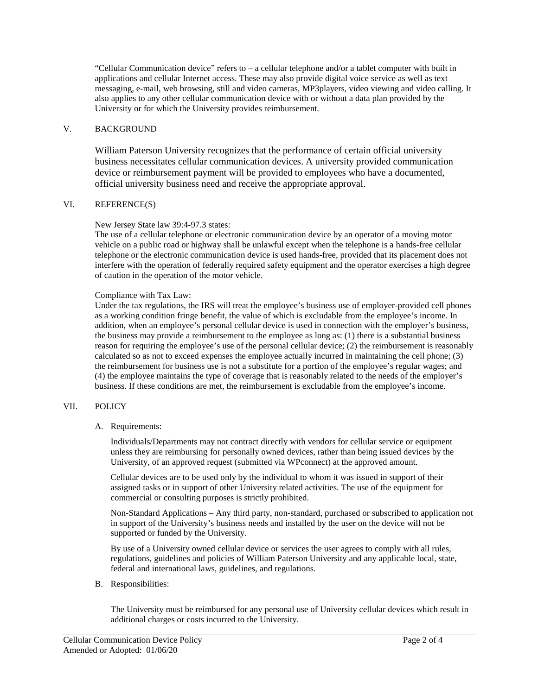"Cellular Communication device" refers to – a cellular telephone and/or a tablet computer with built in applications and cellular Internet access. These may also provide digital voice service as well as text messaging, e-mail, web browsing, still and video cameras, MP3players, video viewing and video calling. It also applies to any other cellular communication device with or without a data plan provided by the University or for which the University provides reimbursement.

#### V. BACKGROUND

William Paterson University recognizes that the performance of certain official university business necessitates cellular communication devices. A university provided communication device or reimbursement payment will be provided to employees who have a documented, official university business need and receive the appropriate approval.

# VI. REFERENCE(S)

New Jersey State law 39:4-97.3 states:

The use of a cellular telephone or electronic communication device by an operator of a moving motor vehicle on a public road or highway shall be unlawful except when the telephone is a hands-free cellular telephone or the electronic communication device is used hands-free, provided that its placement does not interfere with the operation of federally required safety equipment and the operator exercises a high degree of caution in the operation of the motor vehicle.

# Compliance with Tax Law:

Under the tax regulations, the IRS will treat the employee's business use of employer-provided cell phones as a working condition fringe benefit, the value of which is excludable from the employee's income. In addition, when an employee's personal cellular device is used in connection with the employer's business, the business may provide a reimbursement to the employee as long as: (1) there is a substantial business reason for requiring the employee's use of the personal cellular device; (2) the reimbursement is reasonably calculated so as not to exceed expenses the employee actually incurred in maintaining the cell phone; (3) the reimbursement for business use is not a substitute for a portion of the employee's regular wages; and (4) the employee maintains the type of coverage that is reasonably related to the needs of the employer's business. If these conditions are met, the reimbursement is excludable from the employee's income.

#### VII. POLICY

A. Requirements:

Individuals/Departments may not contract directly with vendors for cellular service or equipment unless they are reimbursing for personally owned devices, rather than being issued devices by the University, of an approved request (submitted via WPconnect) at the approved amount.

Cellular devices are to be used only by the individual to whom it was issued in support of their assigned tasks or in support of other University related activities. The use of the equipment for commercial or consulting purposes is strictly prohibited.

Non-Standard Applications – Any third party, non-standard, purchased or subscribed to application not in support of the University's business needs and installed by the user on the device will not be supported or funded by the University.

By use of a University owned cellular device or services the user agrees to comply with all rules, regulations, guidelines and policies of William Paterson University and any applicable local, state, federal and international laws, guidelines, and regulations.

B. Responsibilities:

The University must be reimbursed for any personal use of University cellular devices which result in additional charges or costs incurred to the University.